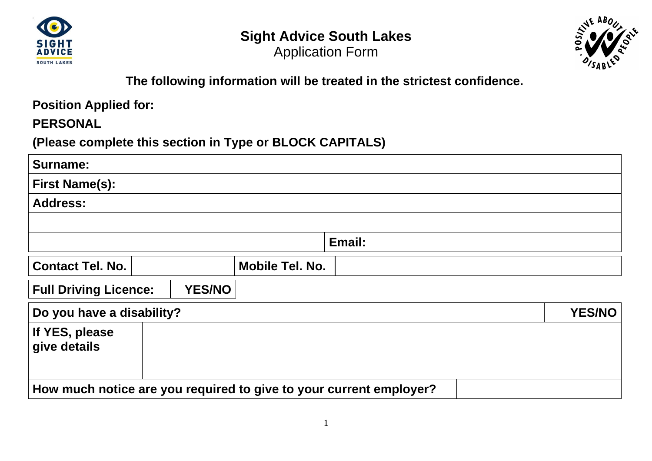

# **Sight Advice South Lakes**  Application Form



# **The following information will be treated in the strictest confidence.**

**Position Applied for:**

**PERSONAL**

**(Please complete this section in Type or BLOCK CAPITALS)**

| <b>Surname:</b>                                                    |  |               |                 |        |               |
|--------------------------------------------------------------------|--|---------------|-----------------|--------|---------------|
| <b>First Name(s):</b>                                              |  |               |                 |        |               |
| <b>Address:</b>                                                    |  |               |                 |        |               |
|                                                                    |  |               |                 |        |               |
|                                                                    |  |               |                 | Email: |               |
| <b>Contact Tel. No.</b>                                            |  |               | Mobile Tel. No. |        |               |
| <b>Full Driving Licence:</b>                                       |  | <b>YES/NO</b> |                 |        |               |
| Do you have a disability?                                          |  |               |                 |        | <b>YES/NO</b> |
| If YES, please<br>give details                                     |  |               |                 |        |               |
| How much notice are you required to give to your current employer? |  |               |                 |        |               |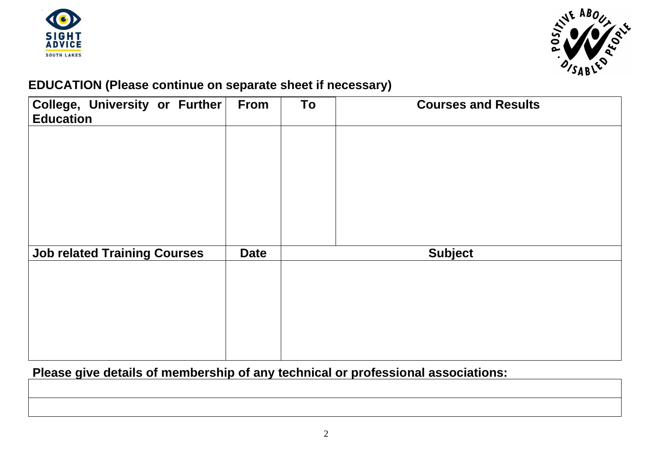



## **EDUCATION (Please continue on separate sheet if necessary)**

| <b>From</b> | To | <b>Courses and Results</b> |
|-------------|----|----------------------------|
|             |    |                            |
|             |    |                            |
|             |    |                            |
|             |    |                            |
| <b>Date</b> |    | <b>Subject</b>             |
|             |    |                            |
|             |    |                            |
|             |    |                            |
|             |    |                            |
|             |    |                            |

# **Please give details of membership of any technical or professional associations:**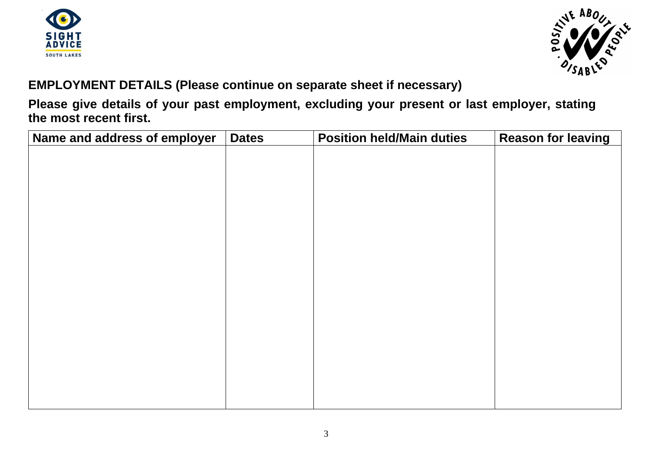



## **EMPLOYMENT DETAILS (Please continue on separate sheet if necessary)**

**Please give details of your past employment, excluding your present or last employer, stating the most recent first.**

| Name and address of employer | <b>Dates</b> | <b>Position held/Main duties</b> | <b>Reason for leaving</b> |
|------------------------------|--------------|----------------------------------|---------------------------|
|                              |              |                                  |                           |
|                              |              |                                  |                           |
|                              |              |                                  |                           |
|                              |              |                                  |                           |
|                              |              |                                  |                           |
|                              |              |                                  |                           |
|                              |              |                                  |                           |
|                              |              |                                  |                           |
|                              |              |                                  |                           |
|                              |              |                                  |                           |
|                              |              |                                  |                           |
|                              |              |                                  |                           |
|                              |              |                                  |                           |
|                              |              |                                  |                           |
|                              |              |                                  |                           |
|                              |              |                                  |                           |
|                              |              |                                  |                           |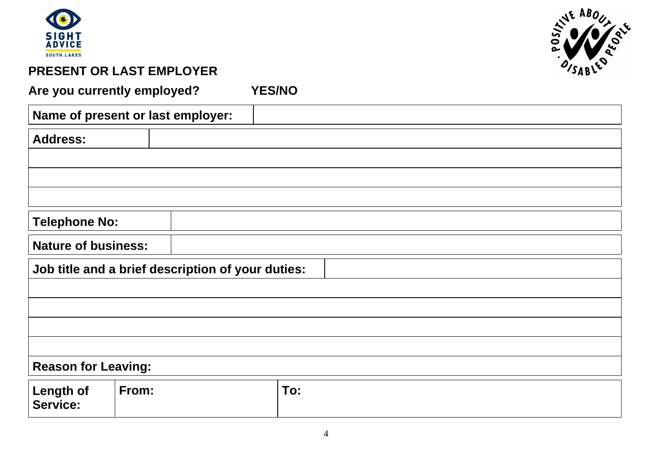



## **PRESENT OR LAST EMPLOYER**

**Are you currently employed? YES/NO**

|                                     | Name of present or last employer:                 |     |  |
|-------------------------------------|---------------------------------------------------|-----|--|
| <b>Address:</b>                     |                                                   |     |  |
|                                     |                                                   |     |  |
|                                     |                                                   |     |  |
|                                     |                                                   |     |  |
| <b>Telephone No:</b>                |                                                   |     |  |
| <b>Nature of business:</b>          |                                                   |     |  |
|                                     | Job title and a brief description of your duties: |     |  |
|                                     |                                                   |     |  |
|                                     |                                                   |     |  |
|                                     |                                                   |     |  |
|                                     |                                                   |     |  |
| <b>Reason for Leaving:</b>          |                                                   |     |  |
| <b>Length of</b><br><b>Service:</b> | From:                                             | To: |  |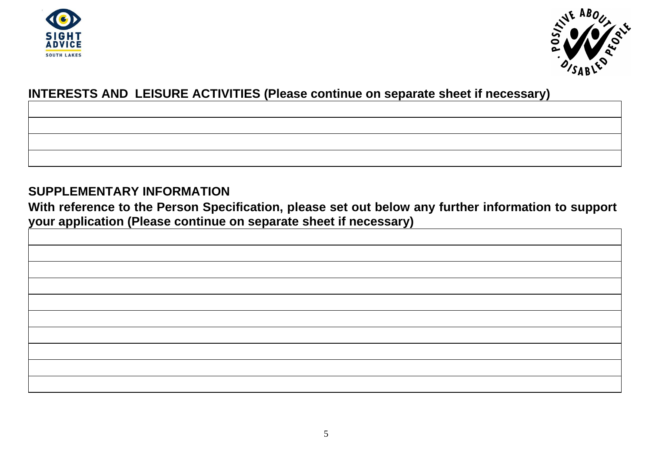



## **INTERESTS AND LEISURE ACTIVITIES (Please continue on separate sheet if necessary)**

### **SUPPLEMENTARY INFORMATION**

**With reference to the Person Specification, please set out below any further information to support your application (Please continue on separate sheet if necessary)**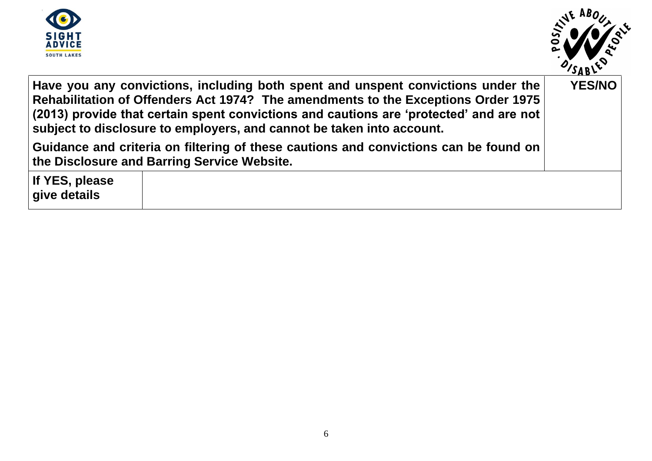



**If YES, please give details**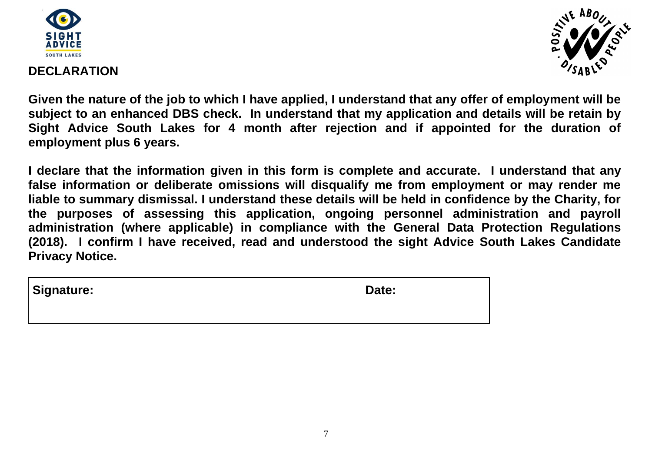



### **DECLARATION**

**Given the nature of the job to which I have applied, I understand that any offer of employment will be subject to an enhanced DBS check. In understand that my application and details will be retain by Sight Advice South Lakes for 4 month after rejection and if appointed for the duration of employment plus 6 years.**

**I declare that the information given in this form is complete and accurate. I understand that any false information or deliberate omissions will disqualify me from employment or may render me liable to summary dismissal. I understand these details will be held in confidence by the Charity, for the purposes of assessing this application, ongoing personnel administration and payroll administration (where applicable) in compliance with the General Data Protection Regulations (2018). I confirm I have received, read and understood the sight Advice South Lakes Candidate Privacy Notice.** 

| <b>Signature:</b> | Date: |
|-------------------|-------|
|                   |       |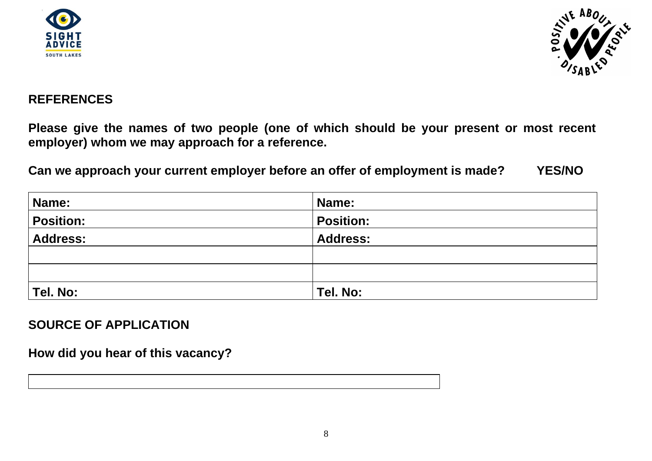



### **REFERENCES**

**Please give the names of two people (one of which should be your present or most recent employer) whom we may approach for a reference.**

**Can we approach your current employer before an offer of employment is made? YES/NO**

| Name:            | Name:            |
|------------------|------------------|
| <b>Position:</b> | <b>Position:</b> |
| Address:         | <b>Address:</b>  |
|                  |                  |
|                  |                  |
| Tel. No:         | Tel. No:         |

**SOURCE OF APPLICATION**

**How did you hear of this vacancy?**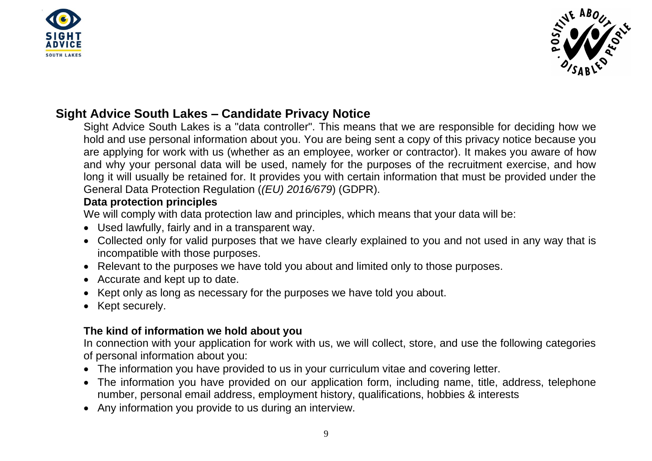



### **Sight Advice South Lakes – Candidate Privacy Notice**

Sight Advice South Lakes is a "data controller". This means that we are responsible for deciding how we hold and use personal information about you. You are being sent a copy of this privacy notice because you are applying for work with us (whether as an employee, worker or contractor). It makes you aware of how and why your personal data will be used, namely for the purposes of the recruitment exercise, and how long it will usually be retained for. It provides you with certain information that must be provided under the General Data Protection Regulation (*(EU) 2016/679*) (GDPR).

### **Data protection principles**

We will comply with data protection law and principles, which means that your data will be:

- Used lawfully, fairly and in a transparent way.
- Collected only for valid purposes that we have clearly explained to you and not used in any way that is incompatible with those purposes.
- Relevant to the purposes we have told you about and limited only to those purposes.
- Accurate and kept up to date.
- Kept only as long as necessary for the purposes we have told you about.
- Kept securely.

### **The kind of information we hold about you**

In connection with your application for work with us, we will collect, store, and use the following categories of personal information about you:

- The information you have provided to us in your curriculum vitae and covering letter.
- The information you have provided on our application form, including name, title, address, telephone number, personal email address, employment history, qualifications, hobbies & interests
- Any information you provide to us during an interview.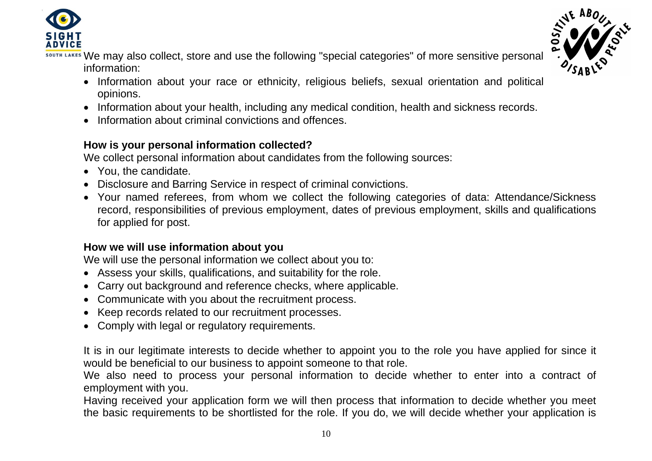



LAKES We may also collect, store and use the following "special categories" of more sensitive personal information:

- Information about your race or ethnicity, religious beliefs, sexual orientation and political opinions.
- Information about your health, including any medical condition, health and sickness records.
- Information about criminal convictions and offences.

### **How is your personal information collected?**

We collect personal information about candidates from the following sources:

- You, the candidate.
- Disclosure and Barring Service in respect of criminal convictions.
- Your named referees, from whom we collect the following categories of data: Attendance/Sickness record, responsibilities of previous employment, dates of previous employment, skills and qualifications for applied for post.

### **How we will use information about you**

We will use the personal information we collect about you to:

- Assess your skills, qualifications, and suitability for the role.
- Carry out background and reference checks, where applicable.
- Communicate with you about the recruitment process.
- Keep records related to our recruitment processes.
- Comply with legal or regulatory requirements.

It is in our legitimate interests to decide whether to appoint you to the role you have applied for since it would be beneficial to our business to appoint someone to that role.

We also need to process your personal information to decide whether to enter into a contract of employment with you.

Having received your application form we will then process that information to decide whether you meet the basic requirements to be shortlisted for the role. If you do, we will decide whether your application is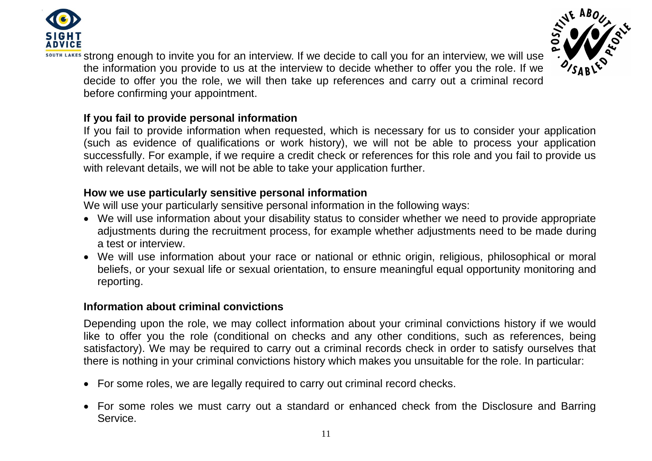



LAKES Strong enough to invite you for an interview. If we decide to call you for an interview, we will use the information you provide to us at the interview to decide whether to offer you the role. If we decide to offer you the role, we will then take up references and carry out a criminal record before confirming your appointment.

### **If you fail to provide personal information**

If you fail to provide information when requested, which is necessary for us to consider your application (such as evidence of qualifications or work history), we will not be able to process your application successfully. For example, if we require a credit check or references for this role and you fail to provide us with relevant details, we will not be able to take your application further.

### **How we use particularly sensitive personal information**

We will use your particularly sensitive personal information in the following ways:

- We will use information about your disability status to consider whether we need to provide appropriate adjustments during the recruitment process, for example whether adjustments need to be made during a test or interview.
- We will use information about your race or national or ethnic origin, religious, philosophical or moral beliefs, or your sexual life or sexual orientation, to ensure meaningful equal opportunity monitoring and reporting.

### **Information about criminal convictions**

Depending upon the role, we may collect information about your criminal convictions history if we would like to offer you the role (conditional on checks and any other conditions, such as references, being satisfactory). We may be required to carry out a criminal records check in order to satisfy ourselves that there is nothing in your criminal convictions history which makes you unsuitable for the role. In particular:

- For some roles, we are legally required to carry out criminal record checks.
- For some roles we must carry out a standard or enhanced check from the Disclosure and Barring **Service**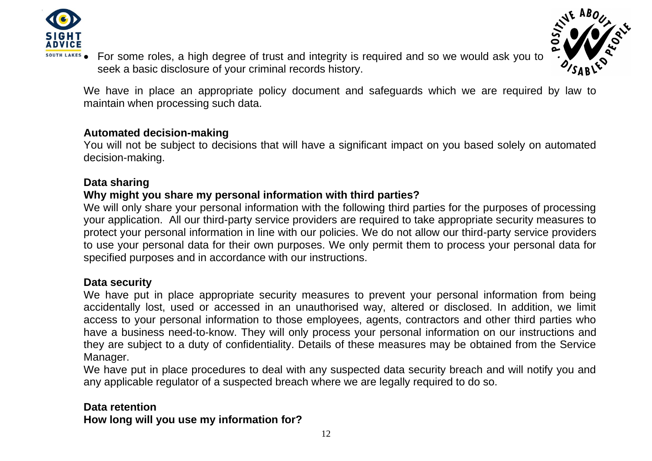

- 
- **ELAKES** For some roles, a high degree of trust and integrity is required and so we would ask you to seek a basic disclosure of your criminal records history.

We have in place an appropriate policy document and safeguards which we are required by law to maintain when processing such data.

### **Automated decision-making**

You will not be subject to decisions that will have a significant impact on you based solely on automated decision-making.

### **Data sharing**

### **Why might you share my personal information with third parties?**

We will only share your personal information with the following third parties for the purposes of processing your application. All our third-party service providers are required to take appropriate security measures to protect your personal information in line with our policies. We do not allow our third-party service providers to use your personal data for their own purposes. We only permit them to process your personal data for specified purposes and in accordance with our instructions.

#### **Data security**

We have put in place appropriate security measures to prevent your personal information from being accidentally lost, used or accessed in an unauthorised way, altered or disclosed. In addition, we limit access to your personal information to those employees, agents, contractors and other third parties who have a business need-to-know. They will only process your personal information on our instructions and they are subject to a duty of confidentiality. Details of these measures may be obtained from the Service Manager.

We have put in place procedures to deal with any suspected data security breach and will notify you and any applicable regulator of a suspected breach where we are legally required to do so.

### **Data retention How long will you use my information for?**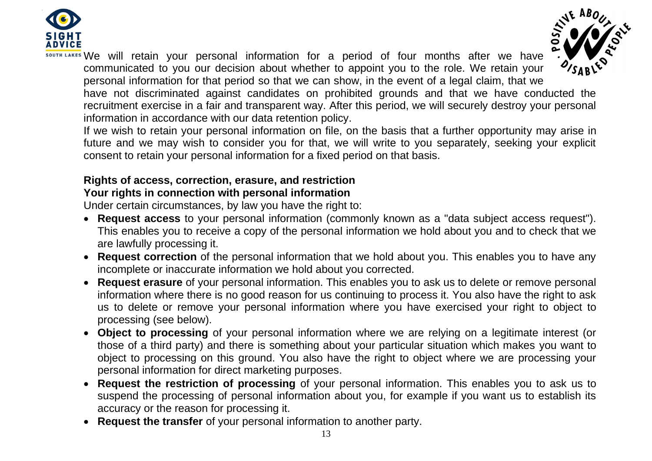

H LAKES We will retain your personal information for a period of four months after we have communicated to you our decision about whether to appoint you to the role. We retain your personal information for that period so that we can show, in the event of a legal claim, that we



have not discriminated against candidates on prohibited grounds and that we have conducted the recruitment exercise in a fair and transparent way. After this period, we will securely destroy your personal information in accordance with our data retention policy.

If we wish to retain your personal information on file, on the basis that a further opportunity may arise in future and we may wish to consider you for that, we will write to you separately, seeking your explicit consent to retain your personal information for a fixed period on that basis.

## **Rights of access, correction, erasure, and restriction**

### **Your rights in connection with personal information**

Under certain circumstances, by law you have the right to:

- **Request access** to your personal information (commonly known as a "data subject access request"). This enables you to receive a copy of the personal information we hold about you and to check that we are lawfully processing it.
- **Request correction** of the personal information that we hold about you. This enables you to have any incomplete or inaccurate information we hold about you corrected.
- **Request erasure** of your personal information. This enables you to ask us to delete or remove personal information where there is no good reason for us continuing to process it. You also have the right to ask us to delete or remove your personal information where you have exercised your right to object to processing (see below).
- **Object to processing** of your personal information where we are relying on a legitimate interest (or those of a third party) and there is something about your particular situation which makes you want to object to processing on this ground. You also have the right to object where we are processing your personal information for direct marketing purposes.
- **Request the restriction of processing** of your personal information. This enables you to ask us to suspend the processing of personal information about you, for example if you want us to establish its accuracy or the reason for processing it.
- **Request the transfer** of your personal information to another party.